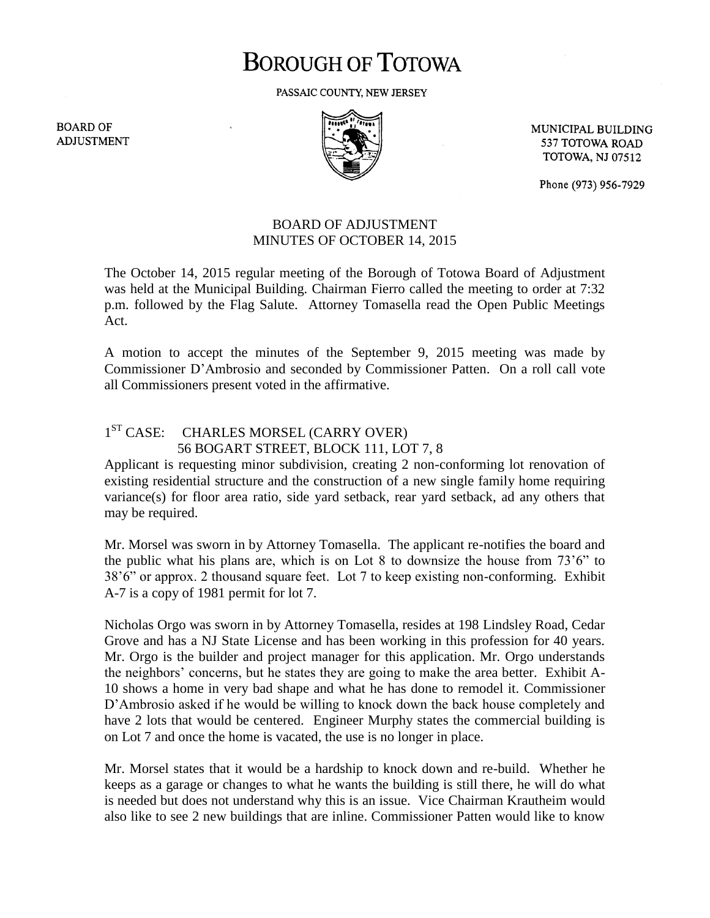# **BOROUGH OF TOTOWA**

PASSAIC COUNTY, NEW JERSEY

**BOARD OF ADJUSTMENT** 



MUNICIPAL BUILDING 537 TOTOWA ROAD **TOTOWA, NJ 07512** 

Phone (973) 956-7929

#### BOARD OF ADJUSTMENT MINUTES OF OCTOBER 14, 2015

The October 14, 2015 regular meeting of the Borough of Totowa Board of Adjustment was held at the Municipal Building. Chairman Fierro called the meeting to order at 7:32 p.m. followed by the Flag Salute. Attorney Tomasella read the Open Public Meetings Act.

A motion to accept the minutes of the September 9, 2015 meeting was made by Commissioner D'Ambrosio and seconded by Commissioner Patten. On a roll call vote all Commissioners present voted in the affirmative.

### 1<sup>ST</sup> CASE: CHARLES MORSEL (CARRY OVER) 56 BOGART STREET, BLOCK 111, LOT 7, 8

Applicant is requesting minor subdivision, creating 2 non-conforming lot renovation of existing residential structure and the construction of a new single family home requiring variance(s) for floor area ratio, side yard setback, rear yard setback, ad any others that may be required.

Mr. Morsel was sworn in by Attorney Tomasella. The applicant re-notifies the board and the public what his plans are, which is on Lot 8 to downsize the house from 73'6" to 38'6" or approx. 2 thousand square feet. Lot 7 to keep existing non-conforming. Exhibit A-7 is a copy of 1981 permit for lot 7.

Nicholas Orgo was sworn in by Attorney Tomasella, resides at 198 Lindsley Road, Cedar Grove and has a NJ State License and has been working in this profession for 40 years. Mr. Orgo is the builder and project manager for this application. Mr. Orgo understands the neighbors' concerns, but he states they are going to make the area better. Exhibit A-10 shows a home in very bad shape and what he has done to remodel it. Commissioner D'Ambrosio asked if he would be willing to knock down the back house completely and have 2 lots that would be centered. Engineer Murphy states the commercial building is on Lot 7 and once the home is vacated, the use is no longer in place.

Mr. Morsel states that it would be a hardship to knock down and re-build. Whether he keeps as a garage or changes to what he wants the building is still there, he will do what is needed but does not understand why this is an issue. Vice Chairman Krautheim would also like to see 2 new buildings that are inline. Commissioner Patten would like to know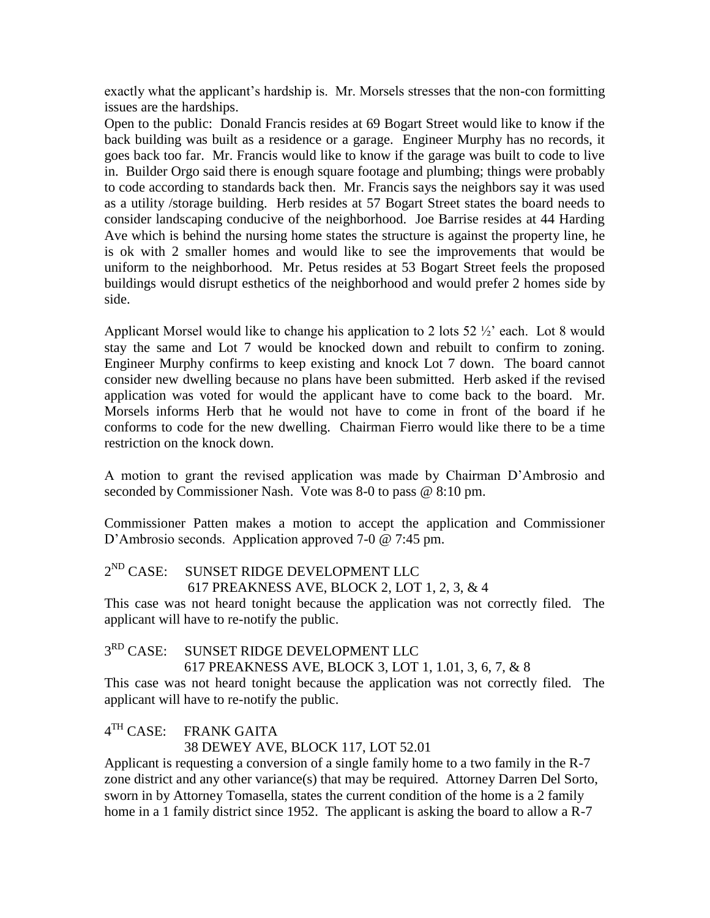exactly what the applicant's hardship is. Mr. Morsels stresses that the non-con formitting issues are the hardships.

Open to the public: Donald Francis resides at 69 Bogart Street would like to know if the back building was built as a residence or a garage. Engineer Murphy has no records, it goes back too far. Mr. Francis would like to know if the garage was built to code to live in. Builder Orgo said there is enough square footage and plumbing; things were probably to code according to standards back then. Mr. Francis says the neighbors say it was used as a utility /storage building. Herb resides at 57 Bogart Street states the board needs to consider landscaping conducive of the neighborhood. Joe Barrise resides at 44 Harding Ave which is behind the nursing home states the structure is against the property line, he is ok with 2 smaller homes and would like to see the improvements that would be uniform to the neighborhood. Mr. Petus resides at 53 Bogart Street feels the proposed buildings would disrupt esthetics of the neighborhood and would prefer 2 homes side by side.

Applicant Morsel would like to change his application to 2 lots 52 ½' each. Lot 8 would stay the same and Lot 7 would be knocked down and rebuilt to confirm to zoning. Engineer Murphy confirms to keep existing and knock Lot 7 down. The board cannot consider new dwelling because no plans have been submitted. Herb asked if the revised application was voted for would the applicant have to come back to the board. Mr. Morsels informs Herb that he would not have to come in front of the board if he conforms to code for the new dwelling. Chairman Fierro would like there to be a time restriction on the knock down.

A motion to grant the revised application was made by Chairman D'Ambrosio and seconded by Commissioner Nash. Vote was 8-0 to pass @ 8:10 pm.

Commissioner Patten makes a motion to accept the application and Commissioner D'Ambrosio seconds. Application approved 7-0 @ 7:45 pm.

2<sup>ND</sup> CASE: SUNSET RIDGE DEVELOPMENT LLC 617 PREAKNESS AVE, BLOCK 2, LOT 1, 2, 3, & 4

This case was not heard tonight because the application was not correctly filed. The applicant will have to re-notify the public.

#### $3^{RD}$  CASE: SUNSET RIDGE DEVELOPMENT LLC

617 PREAKNESS AVE, BLOCK 3, LOT 1, 1.01, 3, 6, 7, & 8

This case was not heard tonight because the application was not correctly filed. The applicant will have to re-notify the public.

 $4<sup>TH</sup> CASE:$ FRANK GAITA

#### 38 DEWEY AVE, BLOCK 117, LOT 52.01

Applicant is requesting a conversion of a single family home to a two family in the R-7 zone district and any other variance(s) that may be required. Attorney Darren Del Sorto, sworn in by Attorney Tomasella, states the current condition of the home is a 2 family home in a 1 family district since 1952. The applicant is asking the board to allow a R-7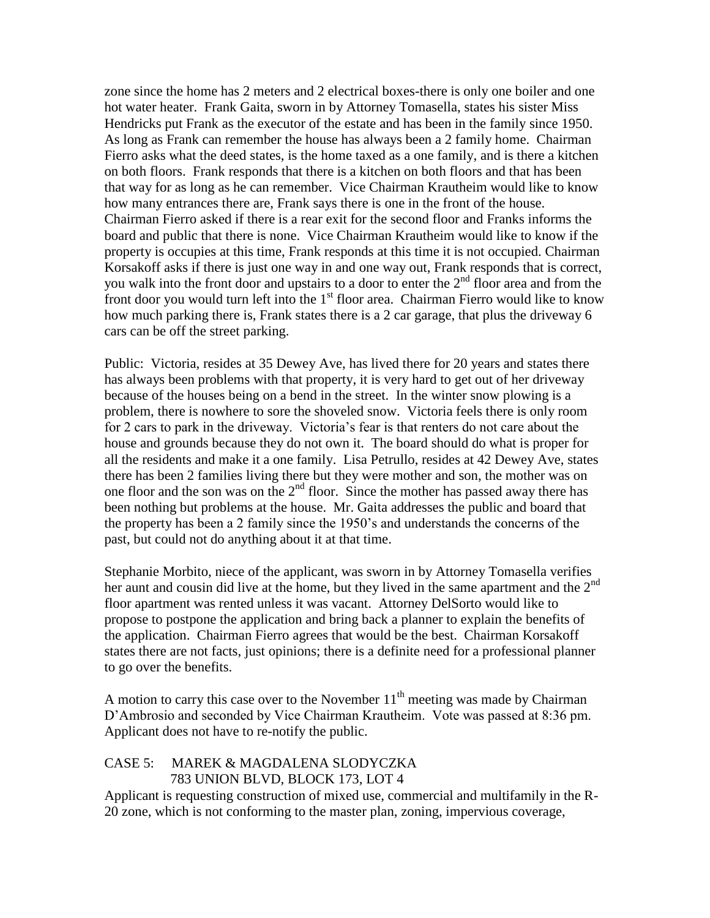zone since the home has 2 meters and 2 electrical boxes-there is only one boiler and one hot water heater. Frank Gaita, sworn in by Attorney Tomasella, states his sister Miss Hendricks put Frank as the executor of the estate and has been in the family since 1950. As long as Frank can remember the house has always been a 2 family home. Chairman Fierro asks what the deed states, is the home taxed as a one family, and is there a kitchen on both floors. Frank responds that there is a kitchen on both floors and that has been that way for as long as he can remember. Vice Chairman Krautheim would like to know how many entrances there are, Frank says there is one in the front of the house. Chairman Fierro asked if there is a rear exit for the second floor and Franks informs the board and public that there is none. Vice Chairman Krautheim would like to know if the property is occupies at this time, Frank responds at this time it is not occupied. Chairman Korsakoff asks if there is just one way in and one way out, Frank responds that is correct, you walk into the front door and upstairs to a door to enter the  $2<sup>nd</sup>$  floor area and from the front door you would turn left into the  $1<sup>st</sup>$  floor area. Chairman Fierro would like to know how much parking there is, Frank states there is a 2 car garage, that plus the driveway 6 cars can be off the street parking.

Public: Victoria, resides at 35 Dewey Ave, has lived there for 20 years and states there has always been problems with that property, it is very hard to get out of her driveway because of the houses being on a bend in the street. In the winter snow plowing is a problem, there is nowhere to sore the shoveled snow. Victoria feels there is only room for 2 cars to park in the driveway. Victoria's fear is that renters do not care about the house and grounds because they do not own it. The board should do what is proper for all the residents and make it a one family. Lisa Petrullo, resides at 42 Dewey Ave, states there has been 2 families living there but they were mother and son, the mother was on one floor and the son was on the  $2<sup>nd</sup>$  floor. Since the mother has passed away there has been nothing but problems at the house. Mr. Gaita addresses the public and board that the property has been a 2 family since the 1950's and understands the concerns of the past, but could not do anything about it at that time.

Stephanie Morbito, niece of the applicant, was sworn in by Attorney Tomasella verifies her aunt and cousin did live at the home, but they lived in the same apartment and the  $2<sup>nd</sup>$ floor apartment was rented unless it was vacant. Attorney DelSorto would like to propose to postpone the application and bring back a planner to explain the benefits of the application. Chairman Fierro agrees that would be the best. Chairman Korsakoff states there are not facts, just opinions; there is a definite need for a professional planner to go over the benefits.

A motion to carry this case over to the November  $11<sup>th</sup>$  meeting was made by Chairman D'Ambrosio and seconded by Vice Chairman Krautheim. Vote was passed at 8:36 pm. Applicant does not have to re-notify the public.

#### CASE 5: MAREK & MAGDALENA SLODYCZKA 783 UNION BLVD, BLOCK 173, LOT 4

Applicant is requesting construction of mixed use, commercial and multifamily in the R-20 zone, which is not conforming to the master plan, zoning, impervious coverage,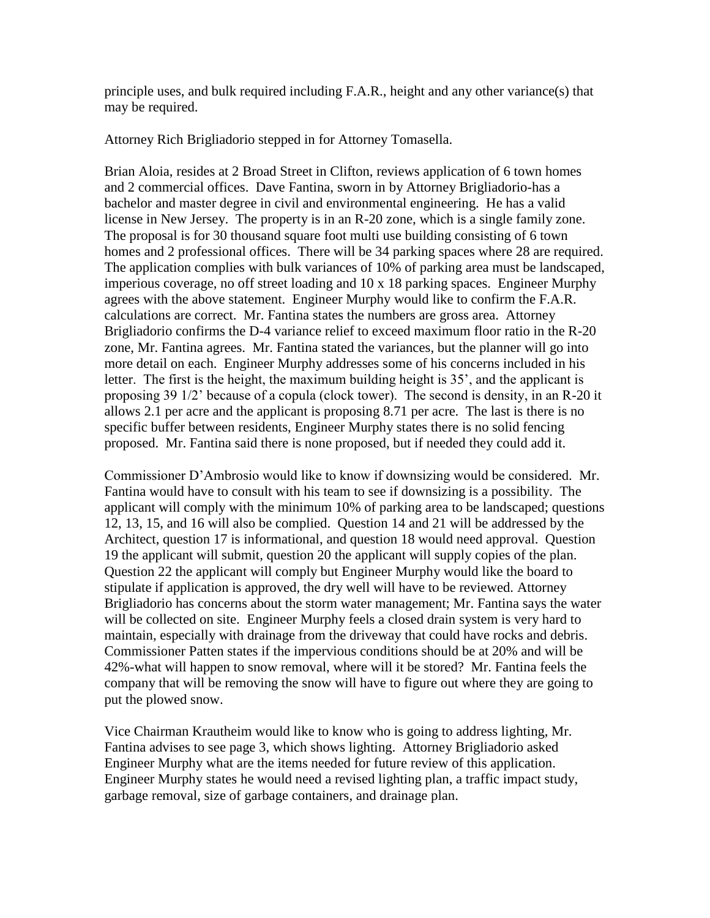principle uses, and bulk required including F.A.R., height and any other variance(s) that may be required.

Attorney Rich Brigliadorio stepped in for Attorney Tomasella.

Brian Aloia, resides at 2 Broad Street in Clifton, reviews application of 6 town homes and 2 commercial offices. Dave Fantina, sworn in by Attorney Brigliadorio-has a bachelor and master degree in civil and environmental engineering. He has a valid license in New Jersey. The property is in an R-20 zone, which is a single family zone. The proposal is for 30 thousand square foot multi use building consisting of 6 town homes and 2 professional offices. There will be 34 parking spaces where 28 are required. The application complies with bulk variances of 10% of parking area must be landscaped, imperious coverage, no off street loading and 10 x 18 parking spaces. Engineer Murphy agrees with the above statement. Engineer Murphy would like to confirm the F.A.R. calculations are correct. Mr. Fantina states the numbers are gross area. Attorney Brigliadorio confirms the D-4 variance relief to exceed maximum floor ratio in the R-20 zone, Mr. Fantina agrees. Mr. Fantina stated the variances, but the planner will go into more detail on each. Engineer Murphy addresses some of his concerns included in his letter. The first is the height, the maximum building height is 35', and the applicant is proposing 39 1/2' because of a copula (clock tower). The second is density, in an R-20 it allows 2.1 per acre and the applicant is proposing 8.71 per acre. The last is there is no specific buffer between residents, Engineer Murphy states there is no solid fencing proposed. Mr. Fantina said there is none proposed, but if needed they could add it.

Commissioner D'Ambrosio would like to know if downsizing would be considered. Mr. Fantina would have to consult with his team to see if downsizing is a possibility. The applicant will comply with the minimum 10% of parking area to be landscaped; questions 12, 13, 15, and 16 will also be complied. Question 14 and 21 will be addressed by the Architect, question 17 is informational, and question 18 would need approval. Question 19 the applicant will submit, question 20 the applicant will supply copies of the plan. Question 22 the applicant will comply but Engineer Murphy would like the board to stipulate if application is approved, the dry well will have to be reviewed. Attorney Brigliadorio has concerns about the storm water management; Mr. Fantina says the water will be collected on site. Engineer Murphy feels a closed drain system is very hard to maintain, especially with drainage from the driveway that could have rocks and debris. Commissioner Patten states if the impervious conditions should be at 20% and will be 42%-what will happen to snow removal, where will it be stored? Mr. Fantina feels the company that will be removing the snow will have to figure out where they are going to put the plowed snow.

Vice Chairman Krautheim would like to know who is going to address lighting, Mr. Fantina advises to see page 3, which shows lighting. Attorney Brigliadorio asked Engineer Murphy what are the items needed for future review of this application. Engineer Murphy states he would need a revised lighting plan, a traffic impact study, garbage removal, size of garbage containers, and drainage plan.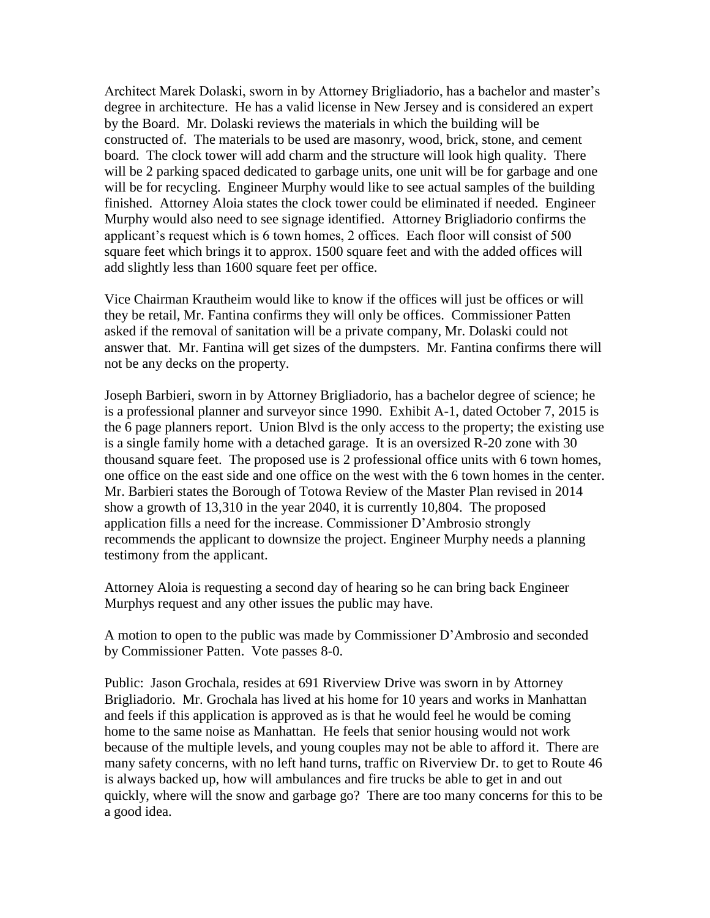Architect Marek Dolaski, sworn in by Attorney Brigliadorio, has a bachelor and master's degree in architecture. He has a valid license in New Jersey and is considered an expert by the Board. Mr. Dolaski reviews the materials in which the building will be constructed of. The materials to be used are masonry, wood, brick, stone, and cement board. The clock tower will add charm and the structure will look high quality. There will be 2 parking spaced dedicated to garbage units, one unit will be for garbage and one will be for recycling. Engineer Murphy would like to see actual samples of the building finished. Attorney Aloia states the clock tower could be eliminated if needed. Engineer Murphy would also need to see signage identified. Attorney Brigliadorio confirms the applicant's request which is 6 town homes, 2 offices. Each floor will consist of 500 square feet which brings it to approx. 1500 square feet and with the added offices will add slightly less than 1600 square feet per office.

Vice Chairman Krautheim would like to know if the offices will just be offices or will they be retail, Mr. Fantina confirms they will only be offices. Commissioner Patten asked if the removal of sanitation will be a private company, Mr. Dolaski could not answer that. Mr. Fantina will get sizes of the dumpsters. Mr. Fantina confirms there will not be any decks on the property.

Joseph Barbieri, sworn in by Attorney Brigliadorio, has a bachelor degree of science; he is a professional planner and surveyor since 1990. Exhibit A-1, dated October 7, 2015 is the 6 page planners report. Union Blvd is the only access to the property; the existing use is a single family home with a detached garage. It is an oversized R-20 zone with 30 thousand square feet. The proposed use is 2 professional office units with 6 town homes, one office on the east side and one office on the west with the 6 town homes in the center. Mr. Barbieri states the Borough of Totowa Review of the Master Plan revised in 2014 show a growth of 13,310 in the year 2040, it is currently 10,804. The proposed application fills a need for the increase. Commissioner D'Ambrosio strongly recommends the applicant to downsize the project. Engineer Murphy needs a planning testimony from the applicant.

Attorney Aloia is requesting a second day of hearing so he can bring back Engineer Murphys request and any other issues the public may have.

A motion to open to the public was made by Commissioner D'Ambrosio and seconded by Commissioner Patten. Vote passes 8-0.

Public: Jason Grochala, resides at 691 Riverview Drive was sworn in by Attorney Brigliadorio. Mr. Grochala has lived at his home for 10 years and works in Manhattan and feels if this application is approved as is that he would feel he would be coming home to the same noise as Manhattan. He feels that senior housing would not work because of the multiple levels, and young couples may not be able to afford it. There are many safety concerns, with no left hand turns, traffic on Riverview Dr. to get to Route 46 is always backed up, how will ambulances and fire trucks be able to get in and out quickly, where will the snow and garbage go? There are too many concerns for this to be a good idea.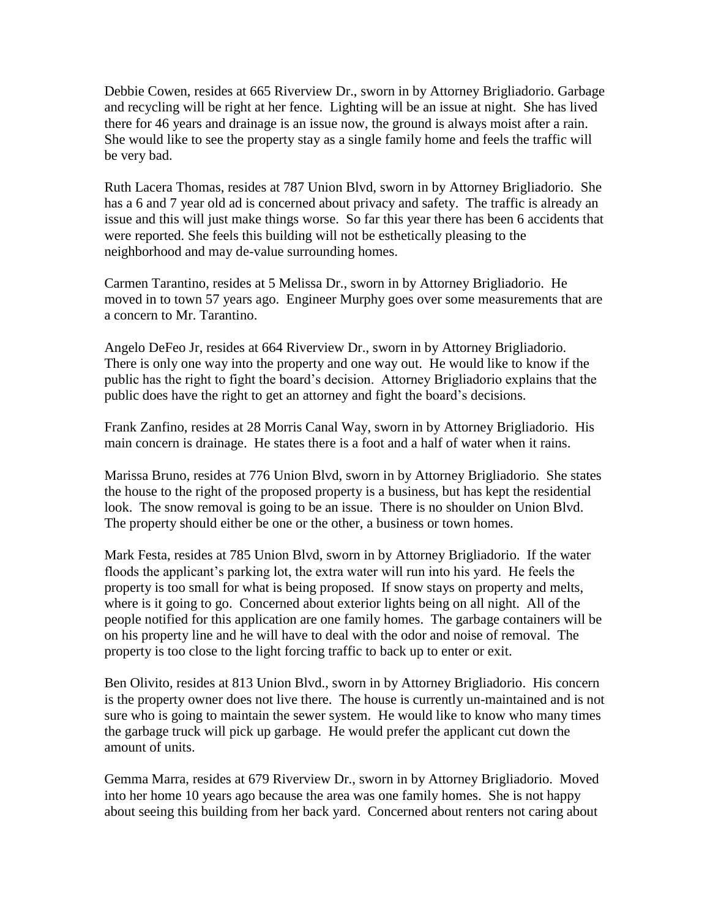Debbie Cowen, resides at 665 Riverview Dr., sworn in by Attorney Brigliadorio. Garbage and recycling will be right at her fence. Lighting will be an issue at night. She has lived there for 46 years and drainage is an issue now, the ground is always moist after a rain. She would like to see the property stay as a single family home and feels the traffic will be very bad.

Ruth Lacera Thomas, resides at 787 Union Blvd, sworn in by Attorney Brigliadorio. She has a 6 and 7 year old ad is concerned about privacy and safety. The traffic is already an issue and this will just make things worse. So far this year there has been 6 accidents that were reported. She feels this building will not be esthetically pleasing to the neighborhood and may de-value surrounding homes.

Carmen Tarantino, resides at 5 Melissa Dr., sworn in by Attorney Brigliadorio. He moved in to town 57 years ago. Engineer Murphy goes over some measurements that are a concern to Mr. Tarantino.

Angelo DeFeo Jr, resides at 664 Riverview Dr., sworn in by Attorney Brigliadorio. There is only one way into the property and one way out. He would like to know if the public has the right to fight the board's decision. Attorney Brigliadorio explains that the public does have the right to get an attorney and fight the board's decisions.

Frank Zanfino, resides at 28 Morris Canal Way, sworn in by Attorney Brigliadorio. His main concern is drainage. He states there is a foot and a half of water when it rains.

Marissa Bruno, resides at 776 Union Blvd, sworn in by Attorney Brigliadorio. She states the house to the right of the proposed property is a business, but has kept the residential look. The snow removal is going to be an issue. There is no shoulder on Union Blvd. The property should either be one or the other, a business or town homes.

Mark Festa, resides at 785 Union Blvd, sworn in by Attorney Brigliadorio. If the water floods the applicant's parking lot, the extra water will run into his yard. He feels the property is too small for what is being proposed. If snow stays on property and melts, where is it going to go. Concerned about exterior lights being on all night. All of the people notified for this application are one family homes. The garbage containers will be on his property line and he will have to deal with the odor and noise of removal. The property is too close to the light forcing traffic to back up to enter or exit.

Ben Olivito, resides at 813 Union Blvd., sworn in by Attorney Brigliadorio. His concern is the property owner does not live there. The house is currently un-maintained and is not sure who is going to maintain the sewer system. He would like to know who many times the garbage truck will pick up garbage. He would prefer the applicant cut down the amount of units.

Gemma Marra, resides at 679 Riverview Dr., sworn in by Attorney Brigliadorio. Moved into her home 10 years ago because the area was one family homes. She is not happy about seeing this building from her back yard. Concerned about renters not caring about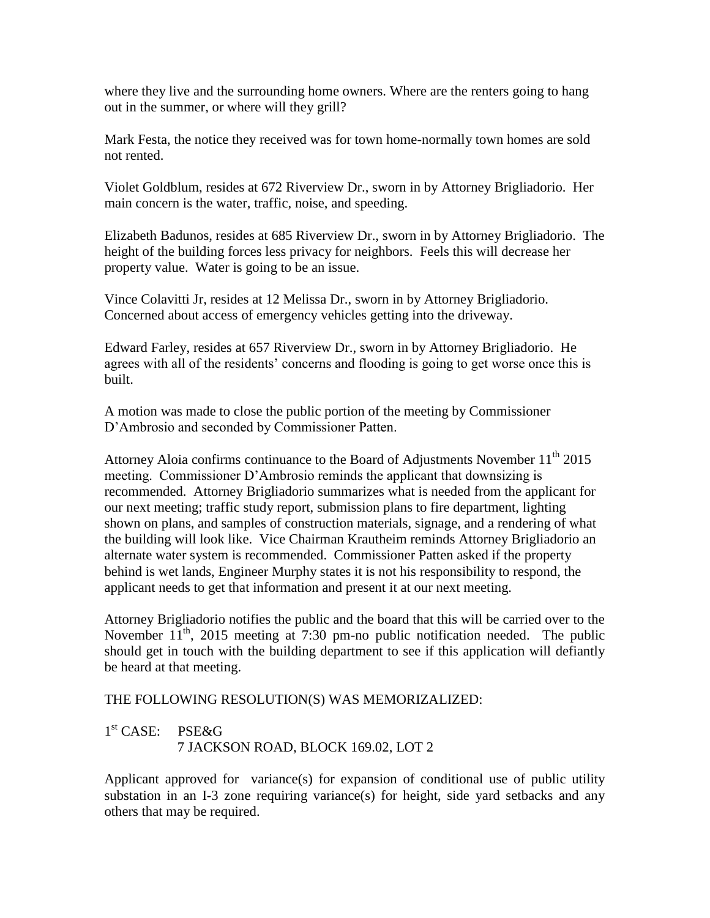where they live and the surrounding home owners. Where are the renters going to hang out in the summer, or where will they grill?

Mark Festa, the notice they received was for town home-normally town homes are sold not rented.

Violet Goldblum, resides at 672 Riverview Dr., sworn in by Attorney Brigliadorio. Her main concern is the water, traffic, noise, and speeding.

Elizabeth Badunos, resides at 685 Riverview Dr., sworn in by Attorney Brigliadorio. The height of the building forces less privacy for neighbors. Feels this will decrease her property value. Water is going to be an issue.

Vince Colavitti Jr, resides at 12 Melissa Dr., sworn in by Attorney Brigliadorio. Concerned about access of emergency vehicles getting into the driveway.

Edward Farley, resides at 657 Riverview Dr., sworn in by Attorney Brigliadorio. He agrees with all of the residents' concerns and flooding is going to get worse once this is built.

A motion was made to close the public portion of the meeting by Commissioner D'Ambrosio and seconded by Commissioner Patten.

Attorney Aloia confirms continuance to the Board of Adjustments November  $11<sup>th</sup> 2015$ meeting. Commissioner D'Ambrosio reminds the applicant that downsizing is recommended. Attorney Brigliadorio summarizes what is needed from the applicant for our next meeting; traffic study report, submission plans to fire department, lighting shown on plans, and samples of construction materials, signage, and a rendering of what the building will look like. Vice Chairman Krautheim reminds Attorney Brigliadorio an alternate water system is recommended. Commissioner Patten asked if the property behind is wet lands, Engineer Murphy states it is not his responsibility to respond, the applicant needs to get that information and present it at our next meeting.

Attorney Brigliadorio notifies the public and the board that this will be carried over to the November  $11^{th}$ , 2015 meeting at 7:30 pm-no public notification needed. The public should get in touch with the building department to see if this application will defiantly be heard at that meeting.

#### THE FOLLOWING RESOLUTION(S) WAS MEMORIZALIZED:

## 1 st CASE: PSE&G 7 JACKSON ROAD, BLOCK 169.02, LOT 2

Applicant approved for variance(s) for expansion of conditional use of public utility substation in an I-3 zone requiring variance(s) for height, side yard setbacks and any others that may be required.